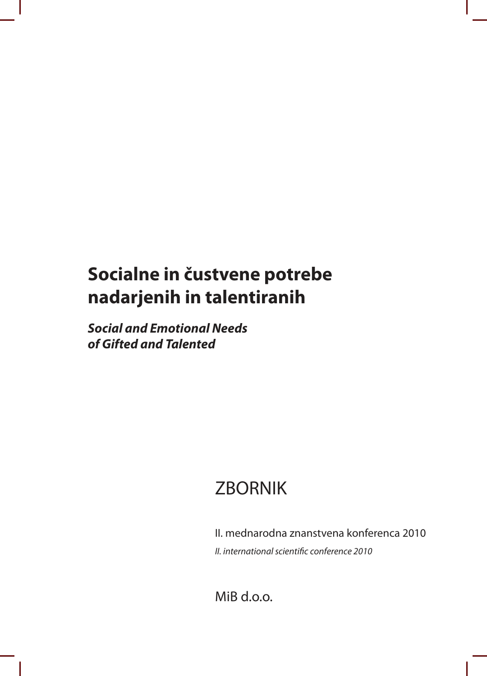# **Socialne in čustvene potrebe nadarjenih in talentiranih**

**Social and Emotional Needs of Gifted and Talented**

# **ZBORNIK**

II. mednarodna znanstvena konferenca 2010 II. international scientific conference 2010

MiB d.o.o.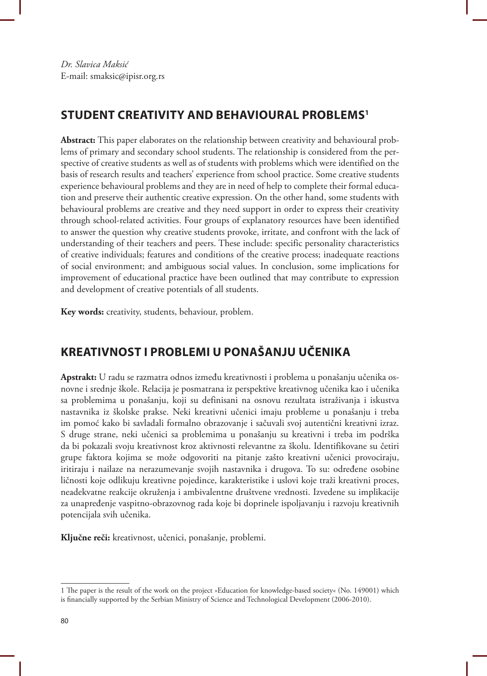## **STUDENT CREATIVITY AND BEHAVIOURAL PROBLEMS<sup>1</sup>**

**Abstract:** This paper elaborates on the relationship between creativity and behavioural problems of primary and secondary school students. The relationship is considered from the perspective of creative students as well as of students with problems which were identified on the basis of research results and teachers' experience from school practice. Some creative students experience behavioural problems and they are in need of help to complete their formal education and preserve their authentic creative expression. On the other hand, some students with behavioural problems are creative and they need support in order to express their creativity through school-related activities. Four groups of explanatory resources have been identified to answer the question why creative students provoke, irritate, and confront with the lack of understanding of their teachers and peers. These include: specific personality characteristics of creative individuals; features and conditions of the creative process; inadequate reactions of social environment; and ambiguous social values. In conclusion, some implications for improvement of educational practice have been outlined that may contribute to expression and development of creative potentials of all students.

**Key words:** creativity, students, behaviour, problem.

# **KREATIVNOST I PROBLEMI U PONAŠANJU UČENIKA**

**Apstrakt:** U radu se razmatra odnos između kreativnosti i problema u ponašanju učenika osnovne i srednje škole. Relacija je posmatrana iz perspektive kreativnog učenika kao i učenika sa problemima u ponašanju, koji su definisani na osnovu rezultata istraživanja i iskustva nastavnika iz školske prakse. Neki kreativni učenici imaju probleme u ponašanju i treba im pomoć kako bi savladali formalno obrazovanje i sačuvali svoj autentični kreativni izraz. S druge strane, neki učenici sa problemima u ponašanju su kreativni i treba im podrška da bi pokazali svoju kreativnost kroz aktivnosti relevantne za školu. Identifikovane su četiri grupe faktora kojima se može odgovoriti na pitanje zašto kreativni učenici provociraju, iritiraju i nailaze na nerazumevanje svojih nastavnika i drugova. To su: određene osobine ličnosti koje odlikuju kreativne pojedince, karakteristike i uslovi koje traži kreativni proces, neadekvatne reakcije okruženja i ambivalentne društvene vrednosti. Izvedene su implikacije za unapređenje vaspitno-obrazovnog rada koje bi doprinele ispoljavanju i razvoju kreativnih potencijala svih učenika.

**Ključne reči:** kreativnost, učenici, ponašanje, problemi.

<sup>1</sup> he paper is the result of the work on the project »Education for knowledge-based society« (No. 149001) which is inancially supported by the Serbian Ministry of Science and Technological Development (2006-2010).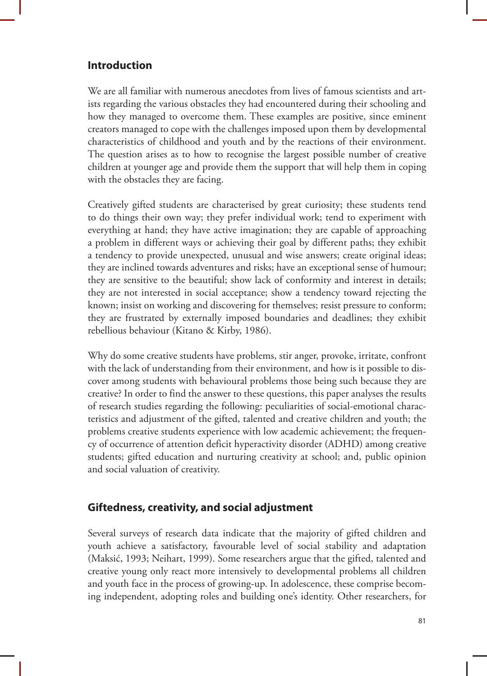### **Introduction**

We are all familiar with numerous anecdotes from lives of famous scientists and artists regarding the various obstacles they had encountered during their schooling and how they managed to overcome them. These examples are positive, since eminent creators managed to cope with the challenges imposed upon them by developmental characteristics of childhood and youth and by the reactions of their environment. The question arises as to how to recognise the largest possible number of creative children at younger age and provide them the support that will help them in coping with the obstacles they are facing.

Creatively gifted students are characterised by great curiosity; these students tend to do things their own way; they prefer individual work; tend to experiment with everything at hand; they have active imagination; they are capable of approaching a problem in different ways or achieving their goal by different paths; they exhibit a tendency to provide unexpected, unusual and wise answers; create original ideas; they are inclined towards adventures and risks; have an exceptional sense of humour; they are sensitive to the beautiful; show lack of conformity and interest in details; they are not interested in social acceptance; show a tendency toward rejecting the known; insist on working and discovering for themselves; resist pressure to conform; they are frustrated by externally imposed boundaries and deadlines; they exhibit rebellious behaviour (Kitano & Kirby, 1986).

Why do some creative students have problems, stir anger, provoke, irritate, confront with the lack of understanding from their environment, and how is it possible to discover among students with behavioural problems those being such because they are creative? In order to find the answer to these questions, this paper analyses the results of research studies regarding the following: peculiarities of social-emotional characteristics and adjustment of the gifted, talented and creative children and youth; the problems creative students experience with low academic achievement; the frequency of occurrence of attention deficit hyperactivity disorder (ADHD) among creative students; gifted education and nurturing creativity at school; and, public opinion and social valuation of creativity.

#### **Giftedness, creativity, and social adjustment**

Several surveys of research data indicate that the majority of gifted children and youth achieve a satisfactory, favourable level of social stability and adaptation (Maksić, 1993; Neihart, 1999). Some researchers argue that the gifted, talented and creative young only react more intensively to developmental problems all children and youth face in the process of growing-up. In adolescence, these comprise becoming independent, adopting roles and building one's identity. Other researchers, for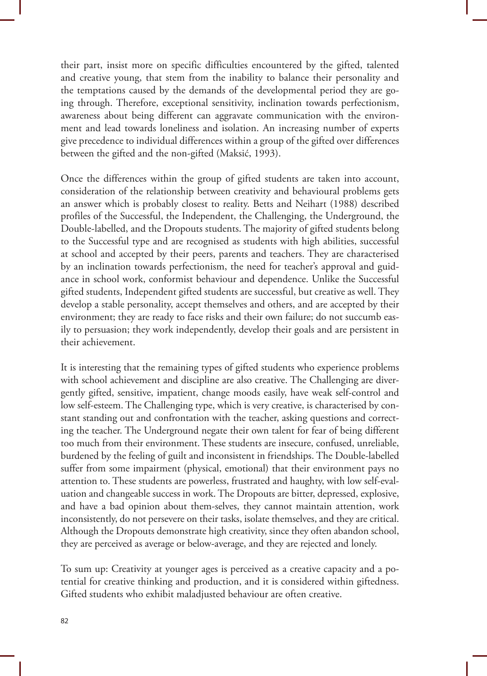their part, insist more on specific difficulties encountered by the gifted, talented and creative young, that stem from the inability to balance their personality and the temptations caused by the demands of the developmental period they are going through. Therefore, exceptional sensitivity, inclination towards perfectionism, awareness about being different can aggravate communication with the environment and lead towards loneliness and isolation. An increasing number of experts give precedence to individual differences within a group of the gifted over differences between the gifted and the non-gifted (Maksić, 1993).

Once the differences within the group of gifted students are taken into account, consideration of the relationship between creativity and behavioural problems gets an answer which is probably closest to reality. Betts and Neihart (1988) described profiles of the Successful, the Independent, the Challenging, the Underground, the Double-labelled, and the Dropouts students. The majority of gifted students belong to the Successful type and are recognised as students with high abilities, successful at school and accepted by their peers, parents and teachers. They are characterised by an inclination towards perfectionism, the need for teacher's approval and guidance in school work, conformist behaviour and dependence. Unlike the Successful gifted students, Independent gifted students are successful, but creative as well. They develop a stable personality, accept themselves and others, and are accepted by their environment; they are ready to face risks and their own failure; do not succumb easily to persuasion; they work independently, develop their goals and are persistent in their achievement.

It is interesting that the remaining types of gifted students who experience problems with school achievement and discipline are also creative. The Challenging are divergently gifted, sensitive, impatient, change moods easily, have weak self-control and low self-esteem. The Challenging type, which is very creative, is characterised by constant standing out and confrontation with the teacher, asking questions and correcting the teacher. The Underground negate their own talent for fear of being different too much from their environment. These students are insecure, confused, unreliable, burdened by the feeling of guilt and inconsistent in friendships. The Double-labelled suffer from some impairment (physical, emotional) that their environment pays no attention to. These students are powerless, frustrated and haughty, with low self-evaluation and changeable success in work. The Dropouts are bitter, depressed, explosive, and have a bad opinion about them-selves, they cannot maintain attention, work inconsistently, do not persevere on their tasks, isolate themselves, and they are critical. Although the Dropouts demonstrate high creativity, since they often abandon school, they are perceived as average or below-average, and they are rejected and lonely.

To sum up: Creativity at younger ages is perceived as a creative capacity and a potential for creative thinking and production, and it is considered within giftedness. Gifted students who exhibit maladjusted behaviour are often creative.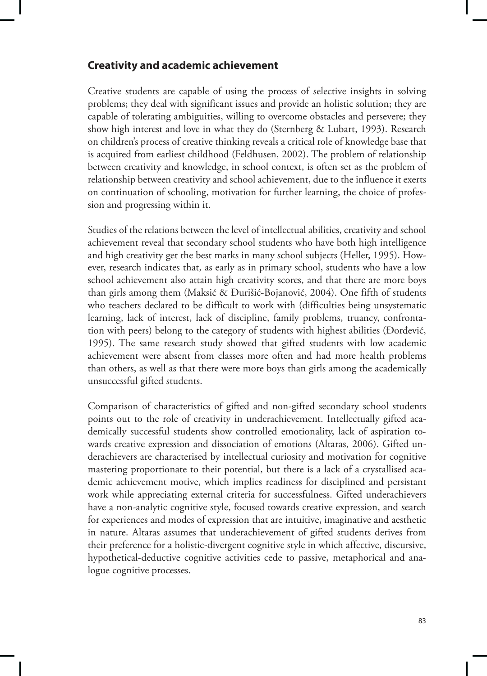#### **Creativity and academic achievement**

Creative students are capable of using the process of selective insights in solving problems; they deal with significant issues and provide an holistic solution; they are capable of tolerating ambiguities, willing to overcome obstacles and persevere; they show high interest and love in what they do (Sternberg & Lubart, 1993). Research on children's process of creative thinking reveals a critical role of knowledge base that is acquired from earliest childhood (Feldhusen, 2002). The problem of relationship between creativity and knowledge, in school context, is often set as the problem of relationship between creativity and school achievement, due to the influence it exerts on continuation of schooling, motivation for further learning, the choice of profession and progressing within it.

Studies of the relations between the level of intellectual abilities, creativity and school achievement reveal that secondary school students who have both high intelligence and high creativity get the best marks in many school subjects (Heller, 1995). However, research indicates that, as early as in primary school, students who have a low school achievement also attain high creativity scores, and that there are more boys than girls among them (Maksić & Đurišić-Bojanović, 2004). One fifth of students who teachers declared to be difficult to work with (difficulties being unsystematic learning, lack of interest, lack of discipline, family problems, truancy, confrontation with peers) belong to the category of students with highest abilities (Đorđević, 1995). The same research study showed that gifted students with low academic achievement were absent from classes more often and had more health problems than others, as well as that there were more boys than girls among the academically unsuccessful gifted students.

Comparison of characteristics of gifted and non-gifted secondary school students points out to the role of creativity in underachievement. Intellectually gifted academically successful students show controlled emotionality, lack of aspiration towards creative expression and dissociation of emotions (Altaras, 2006). Gifted underachievers are characterised by intellectual curiosity and motivation for cognitive mastering proportionate to their potential, but there is a lack of a crystallised academic achievement motive, which implies readiness for disciplined and persistant work while appreciating external criteria for successfulness. Gifted underachievers have a non-analytic cognitive style, focused towards creative expression, and search for experiences and modes of expression that are intuitive, imaginative and aesthetic in nature. Altaras assumes that underachievement of gifted students derives from their preference for a holistic-divergent cognitive style in which affective, discursive, hypothetical-deductive cognitive activities cede to passive, metaphorical and analogue cognitive processes.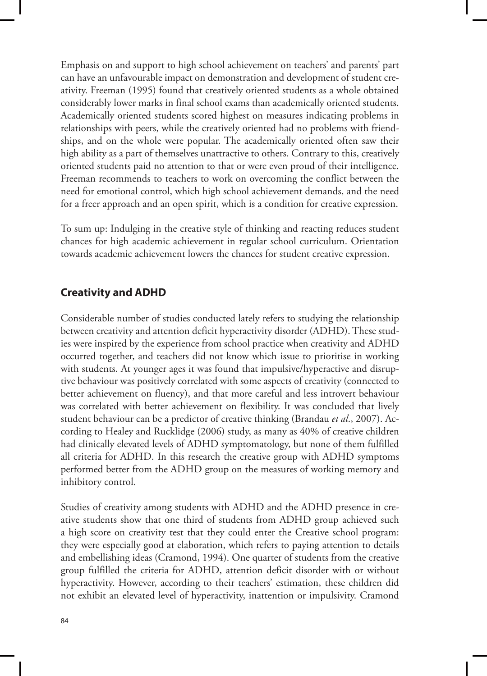Emphasis on and support to high school achievement on teachers' and parents' part can have an unfavourable impact on demonstration and development of student creativity. Freeman (1995) found that creatively oriented students as a whole obtained considerably lower marks in final school exams than academically oriented students. Academically oriented students scored highest on measures indicating problems in relationships with peers, while the creatively oriented had no problems with friendships, and on the whole were popular. The academically oriented often saw their high ability as a part of themselves unattractive to others. Contrary to this, creatively oriented students paid no attention to that or were even proud of their intelligence. Freeman recommends to teachers to work on overcoming the conflict between the need for emotional control, which high school achievement demands, and the need for a freer approach and an open spirit, which is a condition for creative expression.

To sum up: Indulging in the creative style of thinking and reacting reduces student chances for high academic achievement in regular school curriculum. Orientation towards academic achievement lowers the chances for student creative expression.

## **Creativity and ADHD**

Considerable number of studies conducted lately refers to studying the relationship between creativity and attention deficit hyperactivity disorder (ADHD). These studies were inspired by the experience from school practice when creativity and ADHD occurred together, and teachers did not know which issue to prioritise in working with students. At younger ages it was found that impulsive/hyperactive and disruptive behaviour was positively correlated with some aspects of creativity (connected to better achievement on fluency), and that more careful and less introvert behaviour was correlated with better achievement on flexibility. It was concluded that lively student behaviour can be a predictor of creative thinking (Brandau *et al*., 2007). According to Healey and Rucklidge (2006) study, as many as 40% of creative children had clinically elevated levels of ADHD symptomatology, but none of them fulfilled all criteria for ADHD. In this research the creative group with ADHD symptoms performed better from the ADHD group on the measures of working memory and inhibitory control.

Studies of creativity among students with ADHD and the ADHD presence in creative students show that one third of students from ADHD group achieved such a high score on creativity test that they could enter the Creative school program: they were especially good at elaboration, which refers to paying attention to details and embellishing ideas (Cramond, 1994). One quarter of students from the creative group fulfilled the criteria for ADHD, attention deficit disorder with or without hyperactivity. However, according to their teachers' estimation, these children did not exhibit an elevated level of hyperactivity, inattention or impulsivity. Cramond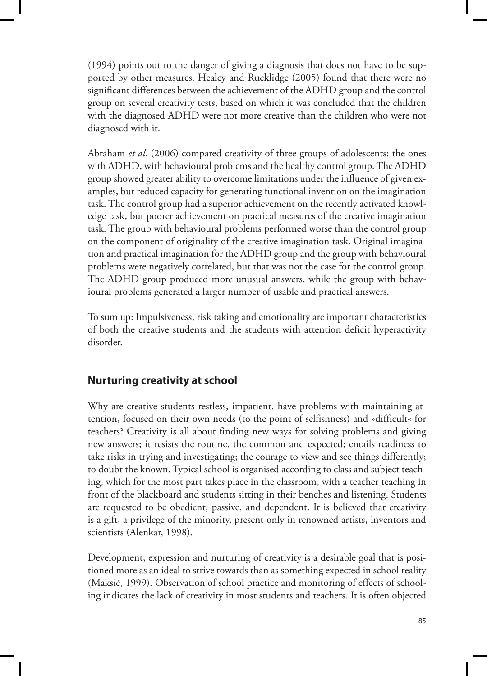(1994) points out to the danger of giving a diagnosis that does not have to be supported by other measures. Healey and Rucklidge (2005) found that there were no significant differences between the achievement of the ADHD group and the control group on several creativity tests, based on which it was concluded that the children with the diagnosed ADHD were not more creative than the children who were not diagnosed with it.

Abraham *et al.* (2006) compared creativity of three groups of adolescents: the ones with ADHD, with behavioural problems and the healthy control group. The ADHD group showed greater ability to overcome limitations under the influence of given examples, but reduced capacity for generating functional invention on the imagination task. The control group had a superior achievement on the recently activated knowledge task, but poorer achievement on practical measures of the creative imagination task. The group with behavioural problems performed worse than the control group on the component of originality of the creative imagination task. Original imagination and practical imagination for the ADHD group and the group with behavioural problems were negatively correlated, but that was not the case for the control group. The ADHD group produced more unusual answers, while the group with behavioural problems generated a larger number of usable and practical answers.

To sum up: Impulsiveness, risk taking and emotionality are important characteristics of both the creative students and the students with attention deficit hyperactivity disorder.

## **Nurturing creativity at school**

Why are creative students restless, impatient, have problems with maintaining attention, focused on their own needs (to the point of selfishness) and »difficult« for teachers? Creativity is all about finding new ways for solving problems and giving new answers; it resists the routine, the common and expected; entails readiness to take risks in trying and investigating; the courage to view and see things differently; to doubt the known. Typical school is organised according to class and subject teaching, which for the most part takes place in the classroom, with a teacher teaching in front of the blackboard and students sitting in their benches and listening. Students are requested to be obedient, passive, and dependent. It is believed that creativity is a gift, a privilege of the minority, present only in renowned artists, inventors and scientists (Alenkar, 1998).

Development, expression and nurturing of creativity is a desirable goal that is positioned more as an ideal to strive towards than as something expected in school reality (Maksić, 1999). Observation of school practice and monitoring of effects of schooling indicates the lack of creativity in most students and teachers. It is often objected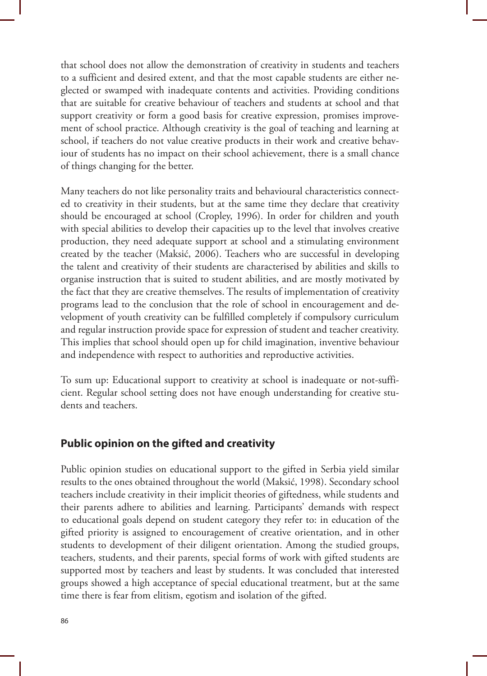that school does not allow the demonstration of creativity in students and teachers to a sufficient and desired extent, and that the most capable students are either neglected or swamped with inadequate contents and activities. Providing conditions that are suitable for creative behaviour of teachers and students at school and that support creativity or form a good basis for creative expression, promises improvement of school practice. Although creativity is the goal of teaching and learning at school, if teachers do not value creative products in their work and creative behaviour of students has no impact on their school achievement, there is a small chance of things changing for the better.

Many teachers do not like personality traits and behavioural characteristics connected to creativity in their students, but at the same time they declare that creativity should be encouraged at school (Cropley, 1996). In order for children and youth with special abilities to develop their capacities up to the level that involves creative production, they need adequate support at school and a stimulating environment created by the teacher (Maksić, 2006). Teachers who are successful in developing the talent and creativity of their students are characterised by abilities and skills to organise instruction that is suited to student abilities, and are mostly motivated by the fact that they are creative themselves. The results of implementation of creativity programs lead to the conclusion that the role of school in encouragement and development of youth creativity can be fulfilled completely if compulsory curriculum and regular instruction provide space for expression of student and teacher creativity. This implies that school should open up for child imagination, inventive behaviour and independence with respect to authorities and reproductive activities.

To sum up: Educational support to creativity at school is inadequate or not-sufficient. Regular school setting does not have enough understanding for creative students and teachers.

#### **Public opinion on the gifted and creativity**

Public opinion studies on educational support to the gifted in Serbia yield similar results to the ones obtained throughout the world (Maksić, 1998). Secondary school teachers include creativity in their implicit theories of giftedness, while students and their parents adhere to abilities and learning. Participants' demands with respect to educational goals depend on student category they refer to: in education of the gifted priority is assigned to encouragement of creative orientation, and in other students to development of their diligent orientation. Among the studied groups, teachers, students, and their parents, special forms of work with gifted students are supported most by teachers and least by students. It was concluded that interested groups showed a high acceptance of special educational treatment, but at the same time there is fear from elitism, egotism and isolation of the gifted.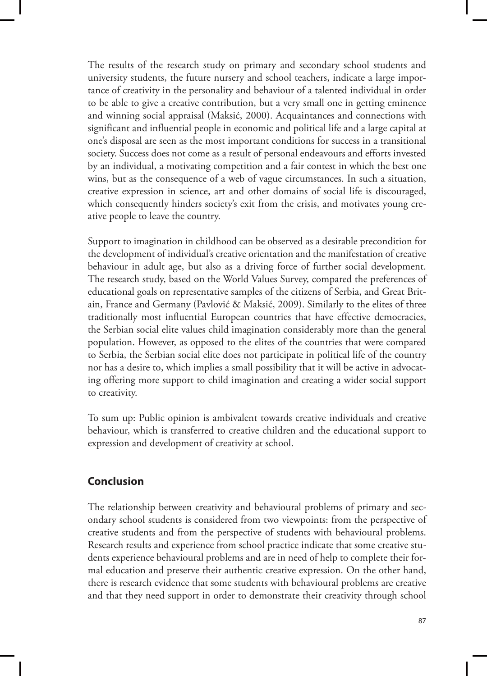The results of the research study on primary and secondary school students and university students, the future nursery and school teachers, indicate a large importance of creativity in the personality and behaviour of a talented individual in order to be able to give a creative contribution, but a very small one in getting eminence and winning social appraisal (Maksić, 2000). Acquaintances and connections with significant and influential people in economic and political life and a large capital at one's disposal are seen as the most important conditions for success in a transitional society. Success does not come as a result of personal endeavours and efforts invested by an individual, a motivating competition and a fair contest in which the best one wins, but as the consequence of a web of vague circumstances. In such a situation, creative expression in science, art and other domains of social life is discouraged, which consequently hinders society's exit from the crisis, and motivates young creative people to leave the country.

Support to imagination in childhood can be observed as a desirable precondition for the development of individual's creative orientation and the manifestation of creative behaviour in adult age, but also as a driving force of further social development. The research study, based on the World Values Survey, compared the preferences of educational goals on representative samples of the citizens of Serbia, and Great Britain, France and Germany (Pavlović & Maksić, 2009). Similarly to the elites of three traditionally most influential European countries that have effective democracies, the Serbian social elite values child imagination considerably more than the general population. However, as opposed to the elites of the countries that were compared to Serbia, the Serbian social elite does not participate in political life of the country nor has a desire to, which implies a small possibility that it will be active in advocating offering more support to child imagination and creating a wider social support to creativity.

To sum up: Public opinion is ambivalent towards creative individuals and creative behaviour, which is transferred to creative children and the educational support to expression and development of creativity at school.

## **Conclusion**

The relationship between creativity and behavioural problems of primary and secondary school students is considered from two viewpoints: from the perspective of creative students and from the perspective of students with behavioural problems. Research results and experience from school practice indicate that some creative students experience behavioural problems and are in need of help to complete their formal education and preserve their authentic creative expression. On the other hand, there is research evidence that some students with behavioural problems are creative and that they need support in order to demonstrate their creativity through school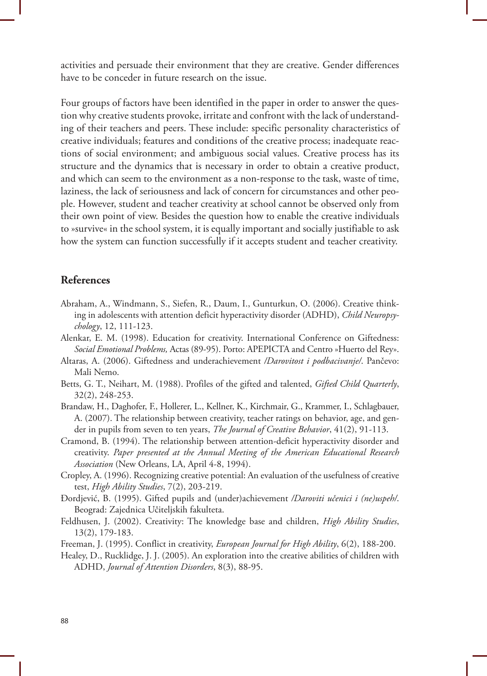activities and persuade their environment that they are creative. Gender differences have to be conceder in future research on the issue.

Four groups of factors have been identified in the paper in order to answer the question why creative students provoke, irritate and confront with the lack of understanding of their teachers and peers. These include: specific personality characteristics of creative individuals; features and conditions of the creative process; inadequate reactions of social environment; and ambiguous social values. Creative process has its structure and the dynamics that is necessary in order to obtain a creative product, and which can seem to the environment as a non-response to the task, waste of time, laziness, the lack of seriousness and lack of concern for circumstances and other people. However, student and teacher creativity at school cannot be observed only from their own point of view. Besides the question how to enable the creative individuals to »survive« in the school system, it is equally important and socially justifiable to ask how the system can function successfully if it accepts student and teacher creativity.

#### **References**

- Abraham, A., Windmann, S., Siefen, R., Daum, I., Gunturkun, O. (2006). Creative think ing in adolescents with attention deficit hyperactivity disorder (ADHD), *Child Neuropsy chology*, 12, 111-123.
- Alenkar, E. M. (1998). Education for creativity. International Conference on Giftedness: *Social Emotional Problems,* Actas (89-95). Porto: APEPICTA and Centro »Huerto del Rey».
- Altaras, A. (2006). Giftedness and underachievement */Darovitost i podbacivanje/*. Pančevo: Mali Nemo.
- Betts, G. T., Neihart, M. (1988). Profiles of the gifted and talented, *Gifted Child Quarterly*, 32(2), 248-253.
- Brandaw, H., Daghofer, F., Hollerer, L., Kellner, K., Kirchmair, G., Krammer, I., Schlagbauer, A. (2007). The relationship between creativity, teacher ratings on behavior, age, and gen der in pupils from seven to ten years, *The Journal of Creative Behavior*, 41(2), 91-113.
- Cramond, B. (1994). The relationship between attention-deficit hyperactivity disorder and creativity. *Paper presented at the Annual Meeting of the American Educational Research Association* (New Orleans, LA, April 4-8, 1994).
- Cropley, A. (1996). Recognizing creative potential: An evaluation of the usefulness of creative test, *High Ability Studies*, 7(2), 203-219.
- Đordjević, B. (1995). Gifted pupils and (under)achievement */Daroviti učenici i (ne)uspeh/*. Beograd: Zajednica Učiteljskih fakulteta.
- Feldhusen, J. (2002). Creativity: The knowledge base and children, *High Ability Studies*, 13(2), 179-183.
- Freeman, J. (1995). Conflict in creativity, *European Journal for High Ability*, 6(2), 188-200.
- Healey, D., Rucklidge, J. J. (2005). An exploration into the creative abilities of children with ADHD, *Journal of Attention Disorders*, 8(3), 88-95.